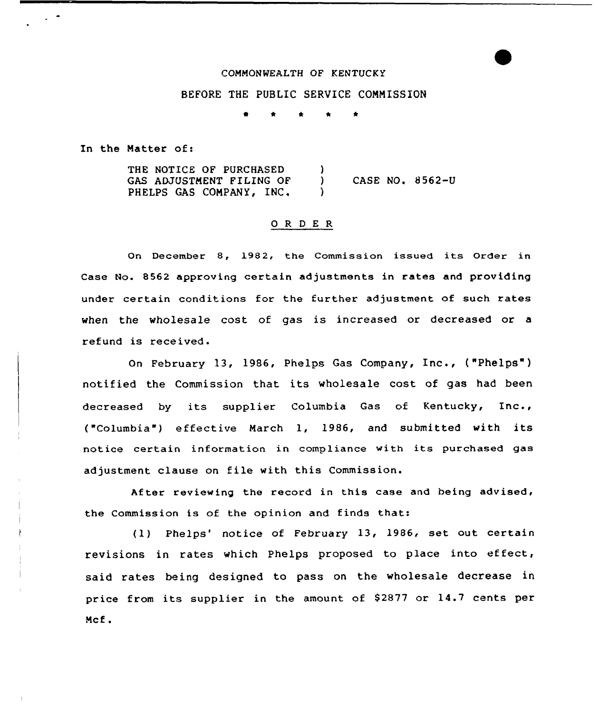## COMMONWEALTH OF KENTUCKY

## BEFORE THE PUBLIC SERUICE COMMISSION

t \* \* \* \*

In the Matter of:

THE NOTICE OF PURCHASED GAS ADJUSTMENT FILING OF PHELPS GAS COMPANY, INC. )<br>) ) CASE NO. 8 562-U )

## Q R D E R

On December 8, 1982, the Commission issued its Order in Case No. 8562 approving certain adjustments in rates and providing under certain conditions for the further adjustment of such rate: when the wholesale cost of gas is increased or decreased or a refund is received.

On February 13, 1986, Phelps Gas Company, Inc., ("P<mark>helps"</mark>) notified the Commission that its wholesale cost of gas had been decreased by its supplier Columbia Gas of Kentucky, Inc., ("Columbia") effective March 1, 1986, and submitted with its notice certain information in compliance with its purchased gas adjustment clause on file with this Commission.

After reviewing the record in this case and being advised, the Commission is of the opinion and finds that:

(1) Phelps' notice of February 13, 1986, set out certain revisions in rates which Phelps proposed to place into effect, said rates being designed to pass on the wholesale decrease in price from its supplier in the amount of 82877 or 14.7 cents per Mcf.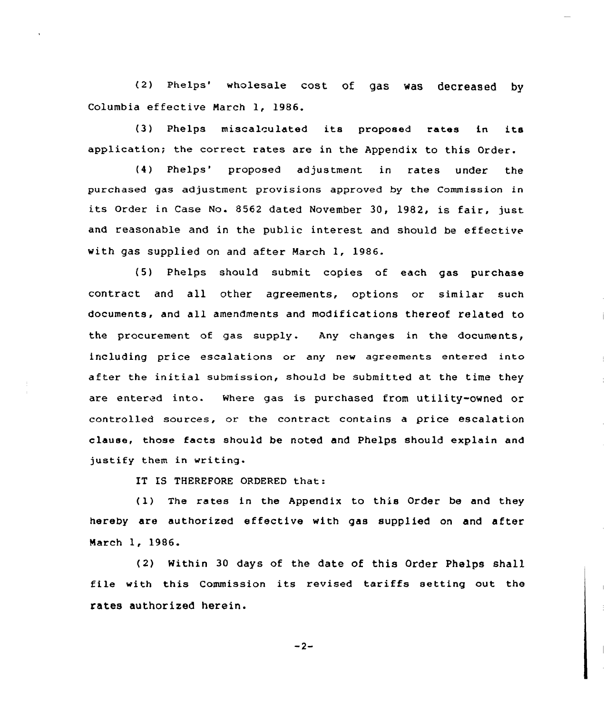(2) Phelps' wholesale cost of gas was decreased by Columbia effective March 1, 1986.

(3) Phelps miscalculated its proposed rates in its application; the correct rates are in the Appendix to this Order.

(4) Phelps" proposed adjustment in rates under the purchased gas adjustment provisions approved by the Commission in its Order in Case No. 8562 dated November 30, 1982, is fair, just. and reasonable and in the public interest and should be effective with gas supplied on and after March 1, 1986.

(5) Phelps should submit copies of each gas purchase contract and all other agreements, options or similar such documents, and all amendments and modifications thereof related to the procurement of gas supply. Any changes in the documents, including price escalations or any new agreements entered into after the initial submission, should be submitted at the time they are entered into. Where gas is purchased from utility-owned or controlled sources, or the contract contains a price escalation clause, those facts should be noted and Phelps should explain and justify them in writing.

IT IS THEREFORE ORDERED that:

(1) The rates in the Appendix to this Order be and they hereby are authorized effective with gas supp1ied on and after March 1, 1986.

(2) Within 30 days of the date of this Order Phelps shall file with this Commission its revised tariffs setting out the rates authorized herein.

 $-2-$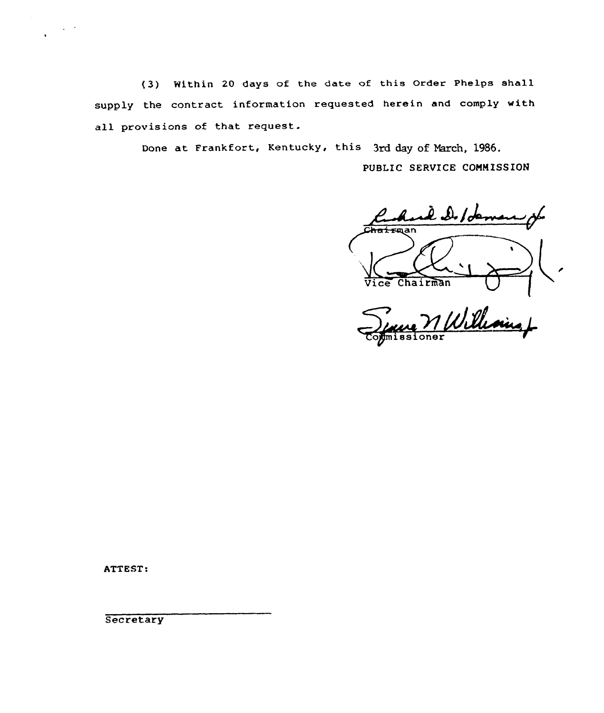(3) Within <sup>20</sup> days of the date of this Order Phelps shall supply the contract information requested herein and comply with all provisions of that request.

Done at Frankfort, Kentucky, this 3rd day of March, 1986.

PUBLIC SERVICE COMMISSION

 $l_{\cdot}$   $\mathcal{Q}_{\cdot}/\mathcal{d}_{\cdot}$ <del>Chair</del>man ( Vice Chairman U (

1 Williams L

ATTEST:

 $\sim 10^{-1}$ 

**Secretary**